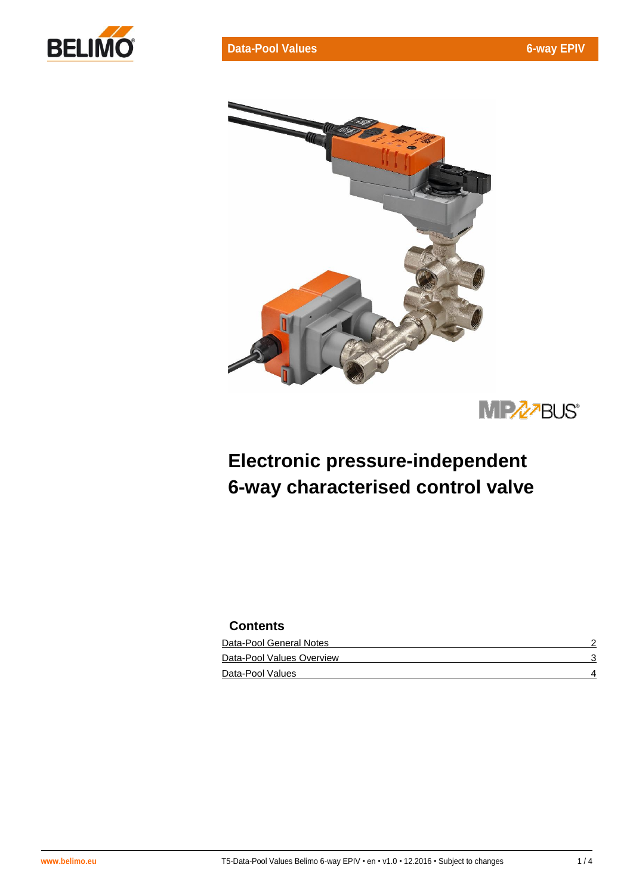





# **Electronic pressure-independent 6-way characterised control valve**

# **Contents**

| Data-Pool General Notes   |  |
|---------------------------|--|
| Data-Pool Values Overview |  |
| Data-Pool Values          |  |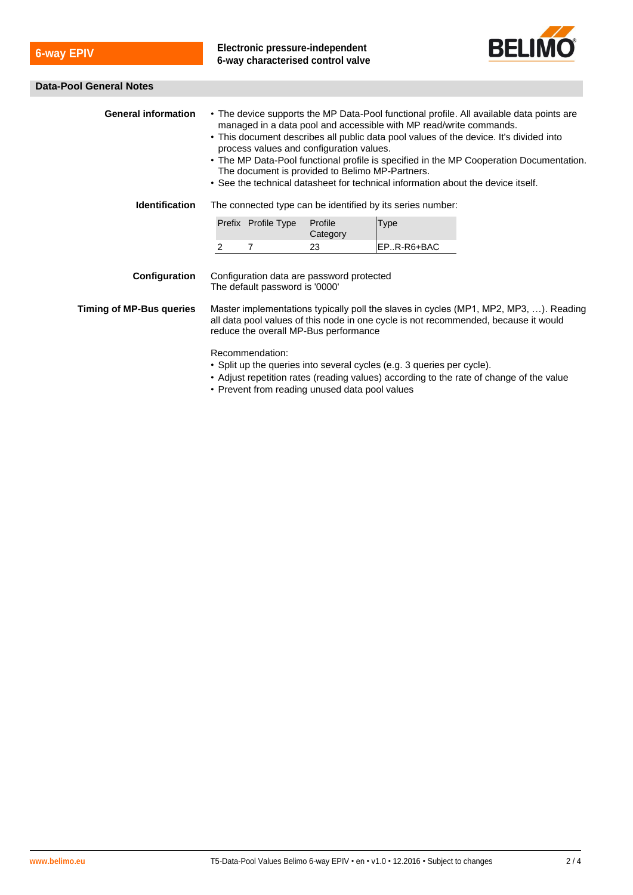**6-way EPIV Electronic pressure-independent 6-way characterised control valve**



#### **Data-Pool General Notes**

| <b>General information</b>                                                                                                                                                                                                             | • The device supports the MP Data-Pool functional profile. All available data points are<br>managed in a data pool and accessible with MP read/write commands.<br>• This document describes all public data pool values of the device. It's divided into<br>process values and configuration values.<br>• The MP Data-Pool functional profile is specified in the MP Cooperation Documentation.<br>The document is provided to Belimo MP-Partners.<br>• See the technical datasheet for technical information about the device itself. |                     |                     |             |  |  |  |
|----------------------------------------------------------------------------------------------------------------------------------------------------------------------------------------------------------------------------------------|----------------------------------------------------------------------------------------------------------------------------------------------------------------------------------------------------------------------------------------------------------------------------------------------------------------------------------------------------------------------------------------------------------------------------------------------------------------------------------------------------------------------------------------|---------------------|---------------------|-------------|--|--|--|
| <b>Identification</b>                                                                                                                                                                                                                  | The connected type can be identified by its series number:                                                                                                                                                                                                                                                                                                                                                                                                                                                                             |                     |                     |             |  |  |  |
|                                                                                                                                                                                                                                        |                                                                                                                                                                                                                                                                                                                                                                                                                                                                                                                                        | Prefix Profile Type | Profile<br>Category | <b>Type</b> |  |  |  |
|                                                                                                                                                                                                                                        | $\overline{2}$                                                                                                                                                                                                                                                                                                                                                                                                                                                                                                                         | 7                   | 23                  | EPR-R6+BAC  |  |  |  |
| Configuration                                                                                                                                                                                                                          | Configuration data are password protected<br>The default password is '0000'                                                                                                                                                                                                                                                                                                                                                                                                                                                            |                     |                     |             |  |  |  |
| <b>Timing of MP-Bus queries</b>                                                                                                                                                                                                        | Master implementations typically poll the slaves in cycles (MP1, MP2, MP3, ). Reading<br>all data pool values of this node in one cycle is not recommended, because it would<br>reduce the overall MP-Bus performance                                                                                                                                                                                                                                                                                                                  |                     |                     |             |  |  |  |
| Recommendation:<br>• Split up the queries into several cycles (e.g. 3 queries per cycle).<br>• Adjust repetition rates (reading values) according to the rate of change of the value<br>• Prevent from reading unused data pool values |                                                                                                                                                                                                                                                                                                                                                                                                                                                                                                                                        |                     |                     |             |  |  |  |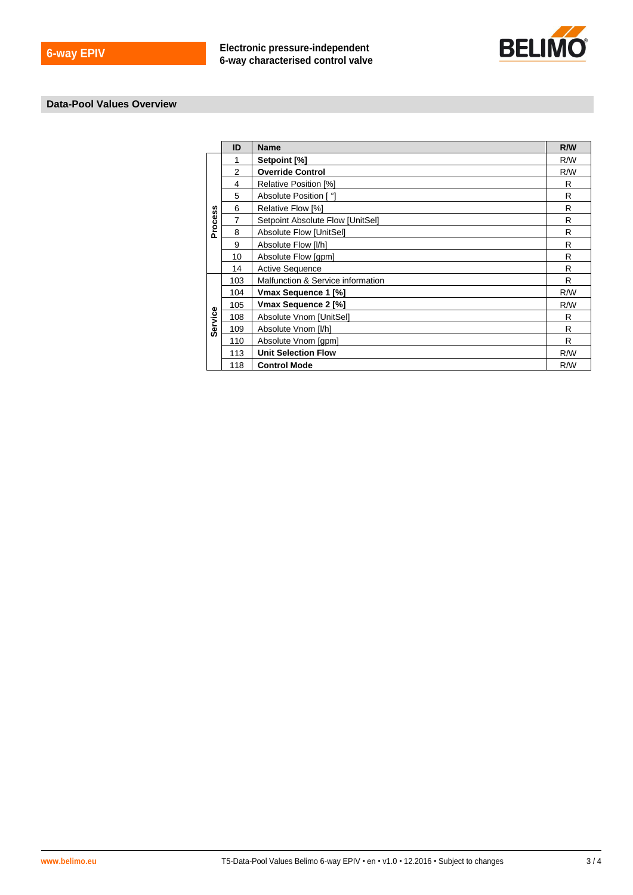

## **Data-Pool Values Overview**

|         | $\sf ID$         | <b>Name</b>                                                                      | R/W                     |
|---------|------------------|----------------------------------------------------------------------------------|-------------------------|
|         | $\mathbf{1}$     | Setpoint [%]                                                                     | R/W                     |
|         | $\mathbf 2$      | <b>Override Control</b>                                                          | R/W                     |
|         | $\overline{4}$   | Relative Position [%]                                                            | ${\sf R}$               |
|         | $\,$ 5 $\,$      | Absolute Position [°]                                                            | ${\sf R}$               |
|         | $6\phantom{a}$   | Relative Flow [%]                                                                | $\mathsf{R}$            |
|         | $\boldsymbol{7}$ | Setpoint Absolute Flow [UnitSel]                                                 | $\mathsf{R}$            |
| Process | $\bf8$           | Absolute Flow [UnitSel]                                                          | $\mathsf{R}$            |
|         | $\boldsymbol{9}$ | Absolute Flow [I/h]                                                              | ${\sf R}$               |
|         | $10$             | Absolute Flow [gpm]                                                              | $\overline{\mathsf{R}}$ |
|         | 14               | Active Sequence                                                                  | $\mathsf{R}$            |
|         | 103              | Malfunction & Service information                                                | ${\sf R}$               |
|         | 104              | Vmax Sequence 1 [%]                                                              | R/W                     |
|         | 105              | Vmax Sequence 2 [%]                                                              | R/W                     |
| Service | 108              | Absolute Vnom [UnitSel]                                                          | ${\sf R}$               |
|         | 109              | Absolute Vnom [I/h]                                                              | ${\sf R}$               |
|         | 110              | Absolute Vnom [gpm]                                                              | $\mathsf{R}$            |
|         | 113              | <b>Unit Selection Flow</b>                                                       | R/W                     |
|         | 118              | <b>Control Mode</b>                                                              | R/W                     |
|         |                  |                                                                                  |                         |
|         |                  |                                                                                  |                         |
|         |                  | T5-Data-Pool Values Belimo 6-way EPIV · en · v1.0 · 12.2016 · Subject to changes | 3/4                     |